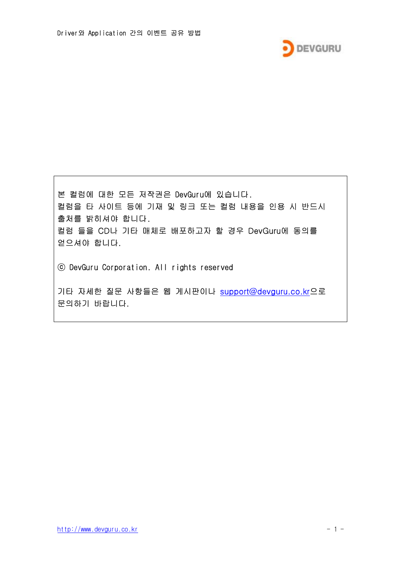

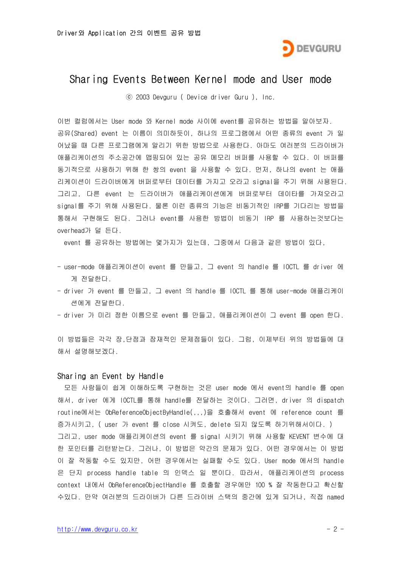

## Sharing Events Between Kernel mode and User mode

ⓒ 2003 Devguru ( Device driver Guru ), Inc.

이번 컬럼에서는 User mode 와 Kernel mode 사이에 event를 공유하는 방법을 알아보자. 공유(Shared) event 는 이름이 의미하듯이, 하나의 프로그램에서 어떤 종류의 event 가 일 어났을 때 다른 프로그램에게 알리기 위한 방법으로 사용한다. 아마도 여러분의 드라이버가 애플리케이션의 주소공간에 맵핑되어 있는 공유 메모리 버퍼를 사용할 수 있다. 이 버퍼를 동기적으로 사용하기 위해 한 쌍의 event 을 사용할 수 있다. 먼저, 하나의 event 는 애플 리케이션이 드라이버에게 버퍼로부터 데이터를 가지고 오라고 signal을 주기 위해 사용된다. 그리고, 다른 event 는 드라이버가 애플리케이션에게 버퍼로부터 데이타를 가져오라고 signal를 주기 위해 사용된다. 물론 이런 종류의 기능은 비동기적인 IRP를 기다리는 방법을 통해서 구현해도 된다. 그러나 event를 사용한 방법이 비동기 IRP 를 사용하는것보다는 overhead가 덜 든다.

event 를 공유하는 방법에는 몇가지가 있는데, 그중에서 다음과 같은 방법이 있다,

- user-mode 애플리케이션이 event 를 만들고, 그 event 의 handle 를 IOCTL 를 driver 에 게 전달한다.
- driver 가 event 를 만들고, 그 event 의 handle 를 IOCTL 를 통해 user-mode 애플리케이 션에게 전달한다.

- driver 가 미리 정한 이름으로 event 를 만들고, 애플리케이션이 그 event 를 open 한다.

이 방법들은 각각 장,단점과 잠재적인 문제점들이 있다. 그럼, 이제부터 위의 방법들에 대 해서 설명해보겠다.

## Sharing an Event by Handle

모든 사람들이 쉽게 이해하도록 구현하는 것은 user mode 에서 event의 handle 를 open 해서, driver 에게 IOCTL를 통해 handle를 전달하는 것이다. 그러면, driver 의 dispatch routine에서는 ObReferenceObjectByHandle(,,,)을 호출해서 event 에 reference count 를 증가시키고, ( user 가 event 를 close 시켜도, delete 되지 않도록 하기위해서이다. ) 그리고, user mode 애플리케이션의 event 를 signal 시키기 위해 사용할 KEVENT 변수에 대 한 포인터를 리턴받는다. 그러나, 이 방법은 약간의 문제가 있다. 어떤 경우에서는 이 방법 이 잘 작동할 수도 있지만, 어떤 경우에서는 실패할 수도 있다. User mode 에서의 handle 은 단지 process handle table 의 인덱스 일 뿐이다. 따라서, 애플리케이션의 process context 내에서 ObReferenceObjectHandle 를 호출할 경우에만 100 % 잘 작동한다고 확신할 수있다. 만약 여러분의 드라이버가 다른 드라이버 스택의 중간에 있게 되거나, 직접 named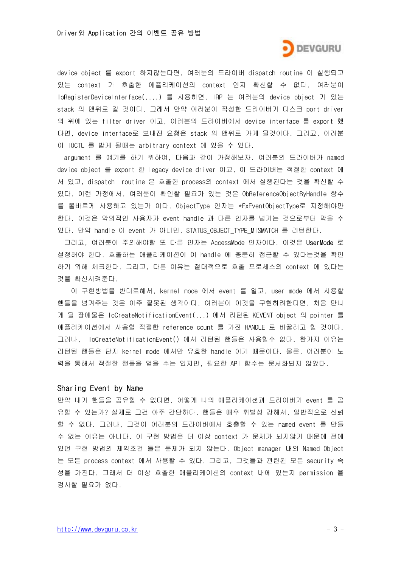

device object 를 export 하지않는다면, 여러분의 드라이버 dispatch routine 이 실행되고 있는 context 가 호출한 애플리케이션의 context 인지 확신할 수 없다. 여러분이 IoRegisterDeviceInterface(,,,,) 를 사용하면, IRP 는 여러분의 device object 가 있는 stack 의 맨위로 갈 것이다. 그래서 만약 여러분이 작성한 드라이버가 디스크 port driver 의 위에 있는 filter driver 이고, 여러분의 드라이버에서 device interface 를 export 했 다면, device interface로 보내진 요청은 stack 의 맨위로 가게 될것이다. 그리고, 여러분 이 IOCTL 를 받게 될때는 arbitrary context 에 있을 수 있다.

argument 를 얘기를 하기 위하여, 다음과 같이 가정해보자. 여러분의 드라이버가 named device object 를 export 한 legacy device driver 이고, 이 드라이버는 적절한 context 에 서 있고, dispatch routine 은 호출한 process의 context 에서 실행된다는 것을 확신할 수 있다. 이런 가정에서, 여러분이 확인할 필요가 있는 것은 ObReferenceObjectByHandle 함수 를 올바르게 사용하고 있는가 이다. ObjectType 인자는 \*ExEventObjectType로 지정해야만 한다. 이것은 악의적인 사용자가 event handle 과 다른 인자를 넘기는 것으로부터 막을 수 있다. 만약 handle 이 event 가 아니면, STATUS\_OBJECT\_TYPE\_MISMATCH 를 리턴한다.

그리고, 여러분이 주의해야할 또 다른 인자는 AccessMode 인자이다. 이것은 UserMode 로 설정해야 한다. 호출하는 애플리케이션이 이 handle 에 충분히 접근할 수 있다는것을 확인 하기 위해 체크한다. 그리고, 다른 이유는 절대적으로 호출 프로세스의 context 에 있다는 것을 확신시켜준다.

이 구현방법을 반대로해서, kernel mode 에서 event 를 열고, user mode 에서 사용할 핸들을 넘겨주는 것은 아주 잘못된 생각이다. 여러분이 이것을 구현하려한다면, 처음 만나 게 될 장애물은 IoCreateNotificationEvent(,,,) 에서 리턴된 KEVENT object 의 pointer 를 애플리케이션에서 사용할 적절한 reference count 를 가진 HANDLE 로 바꿀려고 할 것이다. 그러나, IoCreateNotificationEvent() 에서 리턴된 핸들은 사용할수 없다. 한가지 이유는 리턴된 핸들은 단지 kernel mode 에서만 유효한 handle 이기 때문이다. 물론, 여러분이 노 력을 통해서 적절한 핸들을 얻을 수는 있지만, 필요한 API 함수는 문서화되지 않았다.

## Sharing Event by Name

만약 내가 핸들을 공유할 수 없다면, 어떻게 나의 애플리케이션과 드라이버가 event 를 공 유할 수 있는가? 실제로 그건 아주 간단하다. 핸들은 매우 휘발성 강해서, 일반적으로 신뢰 할 수 없다. 그러나, 그것이 여러분의 드라이버에서 호출할 수 있는 named event 를 만들 수 없는 이유는 아니다. 이 구현 방법은 더 이상 context 가 문제가 되지않기 때문에 전에 있던 구현 방법의 제약조건 들은 문제가 되지 않는다. Object manager 내의 Named Object 는 모든 process context 에서 사용할 수 있다. 그리고, 그것들과 관련된 모든 security 속 성을 가진다. 그래서 더 이상 호출한 애플리케이션의 context 내에 있는지 permission 을 검사할 필요가 없다.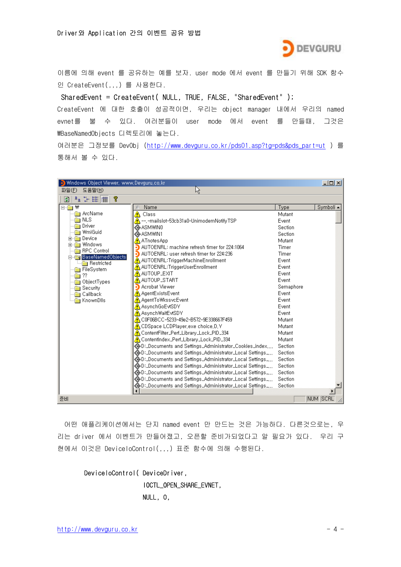

이름에 의해 event 를 공유하는 예를 보자. user mode 에서 event 를 만들기 위해 SDK 함수 인 CreateEvent(,,,) 를 사용한다.

SharedEvent = CreateEvent( NULL, TRUE, FALSE, "SharedEvent" );

CreateEvent 에 대한 호출이 성공적이면, 우리는 object manager 내에서 우리의 named evnet를 불 수 있다. 여러분들이 user mode 에서 event 를 만들때, 그것은 ₩BaseNamedObjects 디렉토리에 놓는다.

여러분은 그정보를 DevObj [\(http://www.devguru.co.kr/pds01.asp?tg=pds&pds\\_part=ut](http://www.devguru.co.kr/pds01.asp?tg=pds&pds_part=ut) ) 를 통해서 볼 수 있다.

| $-12X$<br>Windows Object Viewer, www.Devguru.co.kr |                                                             |           |           |
|----------------------------------------------------|-------------------------------------------------------------|-----------|-----------|
| 도움말(H)<br>파일(F)                                    | R)                                                          |           |           |
| $\frac{p}{p}$ : $\frac{p}{p}$<br>೪<br>団            |                                                             |           |           |
| ⊟∾ <mark></mark> ₩                                 | Name                                                        | Type      | Symboli ▲ |
| <b>na</b> ArcName                                  | A Class                                                     | Mutant    |           |
| i nls                                              | ↑ --, -mailslot-53cb31a0-UnimodemNotifyTSP                  | Event     |           |
| Driver                                             | «≩ASMWINO                                                   | Section   |           |
| WmiGuid                                            | «⊕ASMWIN1                                                   | Section   |           |
| <b>in</b> Device<br>े Windows                      | ATnotes App                                                 | Mutant    |           |
| <b>RPC</b> Control                                 | AUTOENRL: machine refresh timer for 224:1064                | Timer     |           |
| <b>E</b> BaseNamedObjects                          | AUTOENRL: user refresh timer for 224:236                    | Timer     |           |
| Restricted                                         | AUTOENRL:TriggerMachineEnrollment                           | Event     |           |
| FileSystem                                         | AUTOENRL:TriggerUserEnrollment                              | Event     |           |
| -??                                                | A AUTOUP_EXIT                                               | Event     |           |
| ObjectTypes                                        | A AUTOUP_START                                              | Event     |           |
| <b>Security</b>                                    | Acrobat Viewer                                              | Semaphore |           |
| <b>Callback</b>                                    | A AgentExistsEvent                                          | Event     |           |
| <b>Read KnownDils</b>                              | AgentToWkssvcEvent                                          | Event     |           |
|                                                    | A AsynchGoEvtSDY                                            | Event     |           |
|                                                    | A AsynchWaitEvtSDY                                          | Event     |           |
|                                                    | A C0F06BCC-5233-49e2-B572-9E338667F459                      | Mutant    |           |
|                                                    | $\bigwedge$ CDSpace LCDPlayer,exe choice,D,Y                | Mutant    |           |
|                                                    | ContentFilter_Perf_Library_Lock_PID_334                     | Mutant    |           |
|                                                    | ContentIndex_Perf_Library_Lock_PID_334                      | Mutant    |           |
|                                                    | «⊜D:_Documents and Settings_Administrator_Cookies_index,,,, | Section   |           |
|                                                    | « D:_Documents and Settings_Administrator_Local Settings    | Section   |           |
|                                                    | ©D:_Documents and Settings_Administrator_Local Settings_,,, | Section   |           |
|                                                    | ©D:_Documents and Settings_Administrator_Local Settings_,,, | Section   |           |
|                                                    | ©D:_Documents and Settings_Administrator_Local Settings_,,, | Section   |           |
|                                                    | י,,_Documents and Settings_Administrator_Local Settings, ال | Section   |           |
|                                                    | ©D:_Documents and Settings_Administrator_Local Settings_,,, | Section   |           |
|                                                    |                                                             |           |           |
| 준비                                                 |                                                             |           | NUM SCRL  |

어떤 애플리케이션에서는 단지 named event 만 만드는 것은 가능하다. 다른것으로는, 우 리는 driver 에서 이벤트가 만들어졌고, 오픈할 준비가되었다고 알 필요가 있다. 우리 구 현에서 이것은 DeviceIoControl(,,,) 표준 함수에 의해 수행된다.

DeviceIoControl( DeviceDriver, IOCTL\_OPEN\_SHARE\_EVNET, NULL, 0,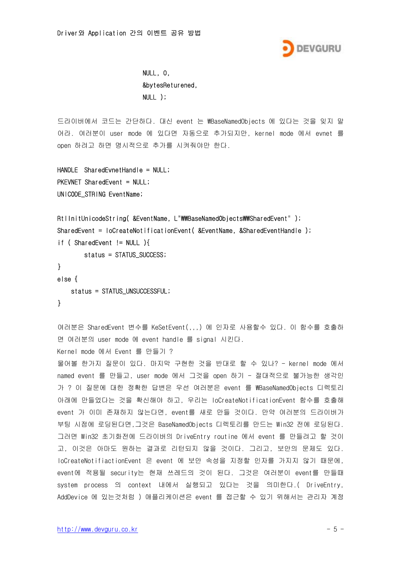

 NULL, 0, &bytesReturened, NULL );

드라이버에서 코드는 간단하다. 대신 event 는 ₩BaseNamedObjects 에 있다는 것을 잊지 말 어라. 여러분이 user mode 에 있다면 자동으로 추가되지만, kernel mode 에서 evnet 를 open 하려고 하면 명시적으로 추가를 시켜줘야만 한다.

```
HANDLE SharedEvnetHandle = NULL; 
PKEVNET SharedEvent = NULL;
UNICODE_STRING EventName;
```

```
RtlInitUnicodeString( &EventName, L"\\BaseNamedObjects\\SharedEvent" );
SharedEvent = loCreateNotificationEvent( &EventName, &SharedEventHandle );
if ( SharedEvent != NULL ){
        status = STATUS_SUCCESS;
} 
else { 
    status = STATUS_UNSUCCESSFUL;
}
```
여러분은 SharedEvent 변수를 KeSetEvent(,,,) 에 인자로 사용할수 있다. 이 함수를 호출하 면 여러분의 user mode 에 event handle 를 signal 시킨다.

Kernel mode 에서 Event 를 만들기 ?

물어볼 한가지 질문이 있다. 마지막 구현한 것을 반대로 할 수 있나? - kernel mode 에서 named event 를 만들고, user mode 에서 그것을 open 하기 - 절대적으로 불가능한 생각인 가 ? 이 질문에 대한 정확한 답변은 우선 여러분은 event 를 ₩BaseNamedObjects 디렉토리 아래에 만들었다는 것을 확신해야 하고, 우리는 IoCreateNotificationEvent 함수를 호출해 event 가 이미 존재하지 않는다면, event를 새로 만들 것이다. 만약 여러분의 드라이버가 부팅 시점에 로딩된다면,그것은 BaseNamedObjects 디렉토리를 만드는 Win32 전에 로딩된다. 그러면 Win32 초기화전에 드라이버의 DriveEntry routine 에서 event 를 만들려고 할 것이 고, 이것은 아마도 원하는 결과로 리턴되지 않을 것이다. 그리고, 보안의 문제도 있다. IoCreateNotifiactionEvent 은 event 에 보안 속성을 지정할 인자를 가지지 않기 때문에, event에 적용될 security는 현재 쓰레드의 것이 된다. 그것은 여러분이 event를 만들때 system process 의 context 내에서 실행되고 있다는 것을 의미한다.( DriveEntry, AddDevice 에 있는것처럼 ) 애플리케이션은 event 를 접근할 수 있기 위해서는 관리자 계정